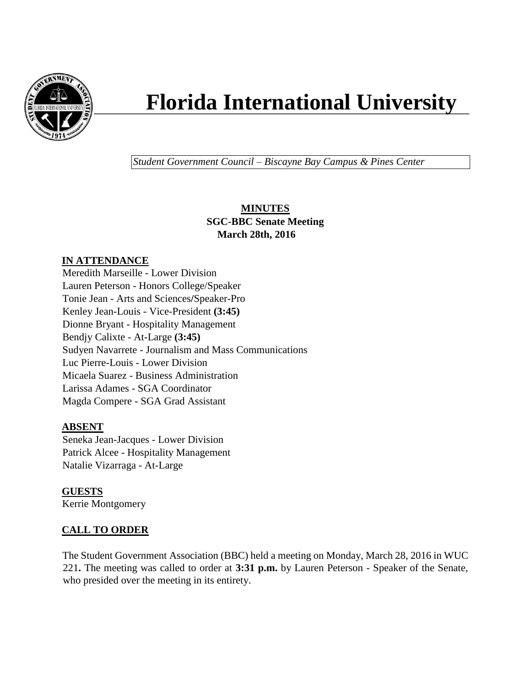

# **Florida International University**

*Student Government Council – Biscayne Bay Campus & Pines Center*

## **MINUTES SGC-BBC Senate Meeting March 28th, 2016**

## **IN ATTENDANCE**

Meredith Marseille - Lower Division Lauren Peterson - Honors College/Speaker Tonie Jean - Arts and Sciences**/**Speaker-Pro Kenley Jean-Louis - Vice-President **(3:45)** Dionne Bryant - Hospitality Management Bendjy Calixte - At-Large **(3:45)** Sudyen Navarrete - Journalism and Mass Communications Luc Pierre-Louis - Lower Division Micaela Suarez - Business Administration Larissa Adames - SGA Coordinator Magda Compere - SGA Grad Assistant

## **ABSENT**

Seneka Jean-Jacques - Lower Division Patrick Alcee - Hospitality Management Natalie Vizarraga - At-Large

**GUESTS** Kerrie Montgomery

# **CALL TO ORDER**

The Student Government Association (BBC) held a meeting on Monday, March 28, 2016 in WUC 221**.** The meeting was called to order at **3:31 p.m.** by Lauren Peterson - Speaker of the Senate, who presided over the meeting in its entirety.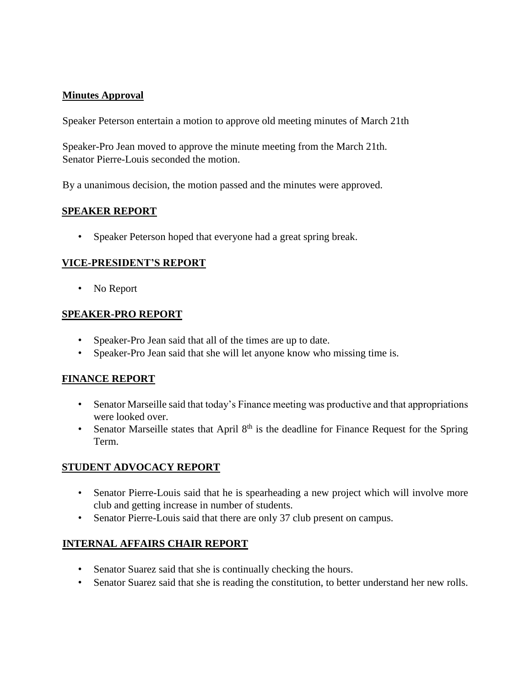### **Minutes Approval**

Speaker Peterson entertain a motion to approve old meeting minutes of March 21th

Speaker-Pro Jean moved to approve the minute meeting from the March 21th. Senator Pierre-Louis seconded the motion.

By a unanimous decision, the motion passed and the minutes were approved.

#### **SPEAKER REPORT**

• Speaker Peterson hoped that everyone had a great spring break.

#### **VICE-PRESIDENT'S REPORT**

• No Report

#### **SPEAKER-PRO REPORT**

- Speaker-Pro Jean said that all of the times are up to date.
- Speaker-Pro Jean said that she will let anyone know who missing time is.

#### **FINANCE REPORT**

- Senator Marseille said that today's Finance meeting was productive and that appropriations were looked over.
- Senator Marseille states that April  $8<sup>th</sup>$  is the deadline for Finance Request for the Spring Term.

#### **STUDENT ADVOCACY REPORT**

- Senator Pierre-Louis said that he is spearheading a new project which will involve more club and getting increase in number of students.
- Senator Pierre-Louis said that there are only 37 club present on campus.

#### **INTERNAL AFFAIRS CHAIR REPORT**

- Senator Suarez said that she is continually checking the hours.
- Senator Suarez said that she is reading the constitution, to better understand her new rolls.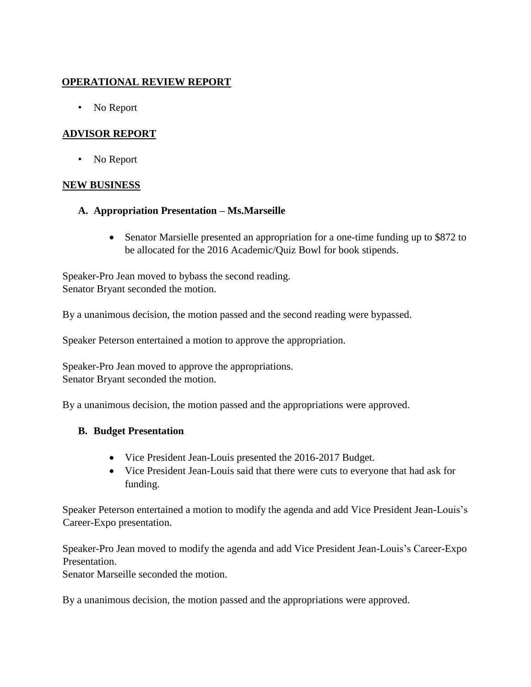## **OPERATIONAL REVIEW REPORT**

• No Report

## **ADVISOR REPORT**

• No Report

#### **NEW BUSINESS**

- **A. Appropriation Presentation – Ms.Marseille**
	- Senator Marsielle presented an appropriation for a one-time funding up to \$872 to be allocated for the 2016 Academic/Quiz Bowl for book stipends.

Speaker-Pro Jean moved to bybass the second reading. Senator Bryant seconded the motion.

By a unanimous decision, the motion passed and the second reading were bypassed.

Speaker Peterson entertained a motion to approve the appropriation.

Speaker-Pro Jean moved to approve the appropriations. Senator Bryant seconded the motion.

By a unanimous decision, the motion passed and the appropriations were approved.

#### **B. Budget Presentation**

- Vice President Jean-Louis presented the 2016-2017 Budget.
- Vice President Jean-Louis said that there were cuts to everyone that had ask for funding.

Speaker Peterson entertained a motion to modify the agenda and add Vice President Jean-Louis's Career-Expo presentation.

Speaker-Pro Jean moved to modify the agenda and add Vice President Jean-Louis's Career-Expo Presentation.

Senator Marseille seconded the motion.

By a unanimous decision, the motion passed and the appropriations were approved.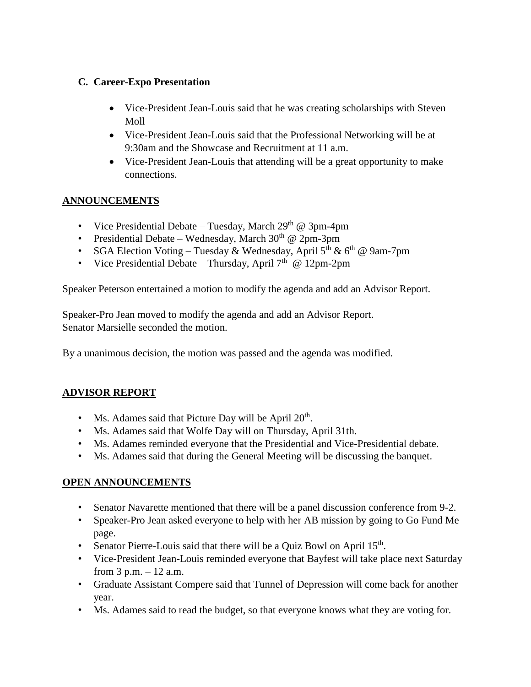## **C. Career-Expo Presentation**

- Vice-President Jean-Louis said that he was creating scholarships with Steven Moll
- Vice-President Jean-Louis said that the Professional Networking will be at 9:30am and the Showcase and Recruitment at 11 a.m.
- Vice-President Jean-Louis that attending will be a great opportunity to make connections.

## **ANNOUNCEMENTS**

- Vice Presidential Debate Tuesday, March  $29<sup>th</sup>$  @ 3pm-4pm
- Presidential Debate Wednesday, March  $30<sup>th</sup>$  @ 2pm-3pm
- SGA Election Voting Tuesday & Wednesday, April  $5<sup>th</sup>$  &  $6<sup>th</sup>$  @ 9am-7pm
- Vice Presidential Debate Thursday, April  $7<sup>th</sup>$  @ 12pm-2pm

Speaker Peterson entertained a motion to modify the agenda and add an Advisor Report.

Speaker-Pro Jean moved to modify the agenda and add an Advisor Report. Senator Marsielle seconded the motion.

By a unanimous decision, the motion was passed and the agenda was modified.

## **ADVISOR REPORT**

- Ms. Adames said that Picture Day will be April  $20<sup>th</sup>$ .
- Ms. Adames said that Wolfe Day will on Thursday, April 31th.
- Ms. Adames reminded everyone that the Presidential and Vice-Presidential debate.
- Ms. Adames said that during the General Meeting will be discussing the banquet.

## **OPEN ANNOUNCEMENTS**

- Senator Navarette mentioned that there will be a panel discussion conference from 9-2.
- Speaker-Pro Jean asked everyone to help with her AB mission by going to Go Fund Me page.
- Senator Pierre-Louis said that there will be a Quiz Bowl on April 15<sup>th</sup>.
- Vice-President Jean-Louis reminded everyone that Bayfest will take place next Saturday from  $3$  p.m.  $-12$  a.m.
- Graduate Assistant Compere said that Tunnel of Depression will come back for another year.
- Ms. Adames said to read the budget, so that everyone knows what they are voting for.